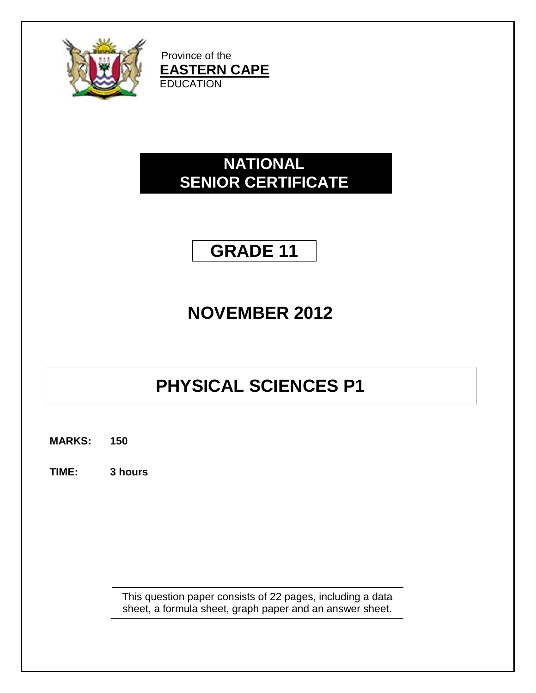

Province of the **EASTERN CAPE EDUCATION** 

## **NATIONAL SENIOR CERTIFICATE**

## **GRADE 11**

# **NOVEMBER 2012**

# **PHYSICAL SCIENCES P1**

**MARKS: 150**

**TIME: 3 hours**

This question paper consists of 22 pages, including a data sheet, a formula sheet, graph paper and an answer sheet.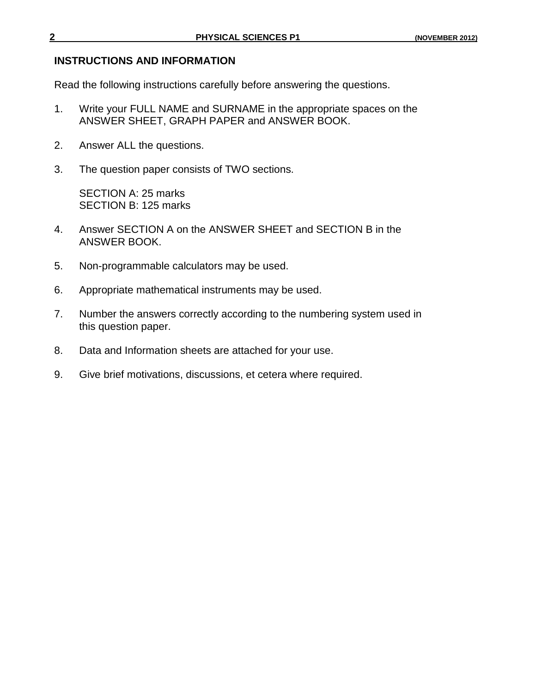#### **INSTRUCTIONS AND INFORMATION**

Read the following instructions carefully before answering the questions.

- 1. Write your FULL NAME and SURNAME in the appropriate spaces on the ANSWER SHEET, GRAPH PAPER and ANSWER BOOK.
- 2. Answer ALL the questions.
- 3. The question paper consists of TWO sections.

SECTION A: 25 marks SECTION B: 125 marks

- 4. Answer SECTION A on the ANSWER SHEET and SECTION B in the ANSWER BOOK.
- 5. Non-programmable calculators may be used.
- 6. Appropriate mathematical instruments may be used.
- 7. Number the answers correctly according to the numbering system used in this question paper.
- 8. Data and Information sheets are attached for your use.
- 9. Give brief motivations, discussions, et cetera where required.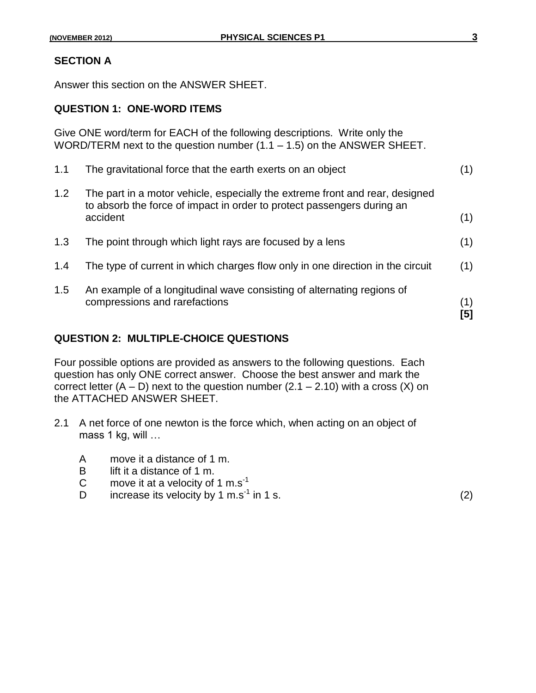### **SECTION A**

Answer this section on the ANSWER SHEET.

#### **QUESTION 1: ONE-WORD ITEMS**

Give ONE word/term for EACH of the following descriptions. Write only the WORD/TERM next to the question number  $(1.1 - 1.5)$  on the ANSWER SHEET.

|     | compressions and rarefactions                                                                                                                                      | (1)<br>[5] |
|-----|--------------------------------------------------------------------------------------------------------------------------------------------------------------------|------------|
| 1.5 | An example of a longitudinal wave consisting of alternating regions of                                                                                             |            |
| 1.4 | The type of current in which charges flow only in one direction in the circuit                                                                                     | (1)        |
| 1.3 | The point through which light rays are focused by a lens                                                                                                           | (1)        |
| 1.2 | The part in a motor vehicle, especially the extreme front and rear, designed<br>to absorb the force of impact in order to protect passengers during an<br>accident | (1)        |
| 1.1 | The gravitational force that the earth exerts on an object                                                                                                         |            |

### **QUESTION 2: MULTIPLE-CHOICE QUESTIONS**

Four possible options are provided as answers to the following questions. Each question has only ONE correct answer. Choose the best answer and mark the correct letter  $(A - D)$  next to the question number  $(2.1 - 2.10)$  with a cross  $(X)$  on the ATTACHED ANSWER SHEET.

- 2.1 A net force of one newton is the force which, when acting on an object of mass 1 kg, will …
	- A move it a distance of 1 m.
	- B lift it a distance of 1 m.
	- C move it at a velocity of  $1 \text{ m.s}^{-1}$
	- D increase its velocity by 1 m.s<sup>-1</sup> in 1 s.  $(2)$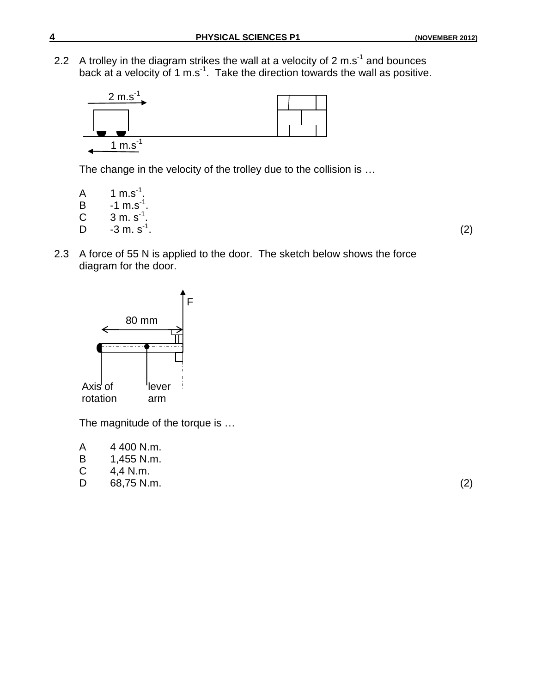2.2 A trolley in the diagram strikes the wall at a velocity of 2 m.s<sup>-1</sup> and bounces back at a velocity of 1 m.s<sup>-1</sup>. Take the direction towards the wall as positive.



The change in the velocity of the trolley due to the collision is …

- A  $1 \text{ m.s}^{-1}$ . B  $-1 \text{ m.s}^{-1}$ . C  $3 \text{ m. s}^{-1}$ .  $D \t -3 m. s<sup>-1</sup>$ . .  $(2)$
- 2.3 A force of 55 N is applied to the door. The sketch below shows the force diagram for the door.



The magnitude of the torque is …

| 4 400 N.m. |
|------------|
|            |

- B 1,455 N.m.<br>C 4,4 N.m.
- 4,4 N.m.
- D 68,75 N.m. (2)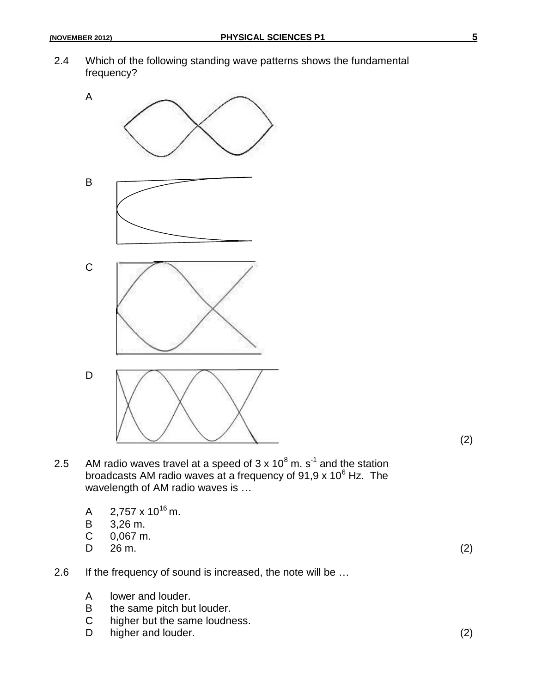2.4 Which of the following standing wave patterns shows the fundamental frequency?



(2)

- 2.5 AM radio waves travel at a speed of  $3 \times 10^8$  m. s<sup>-1</sup> and the station broadcasts AM radio waves at a frequency of 91,9 x 10 $^6$  Hz. The wavelength of AM radio waves is …
	- A  $2,757 \times 10^{16}$  m.
	- B 3,26 m.<br>C 0.067 m
	- $0.067$  m.
	- D  $26 \text{ m.}$  (2)

- 2.6 If the frequency of sound is increased, the note will be ...
	- A lower and louder.
	- B the same pitch but louder.
	- C higher but the same loudness.<br>D higher and louder.
	- $h$ igher and louder. (2)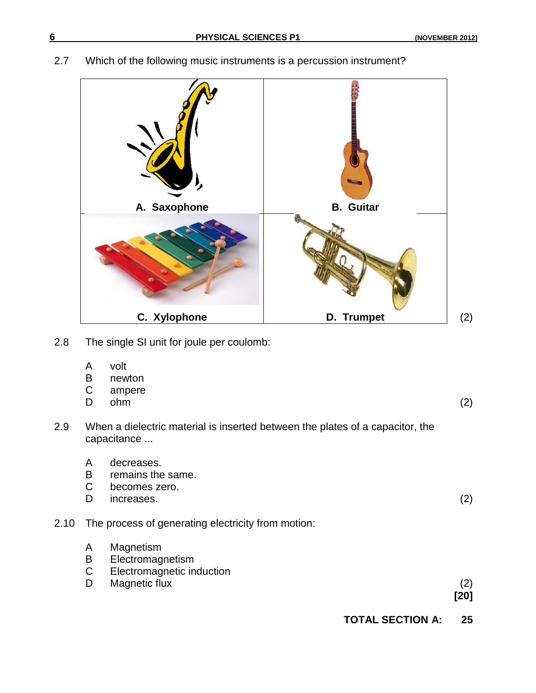## 2.7 Which of the following music instruments is a percussion instrument?



- 2.8 The single SI unit for joule per coulomb:
	- A volt
	- B newton
	- C ampere
	- D ohm (2)

- 2.9 When a dielectric material is inserted between the plates of a capacitor, the capacitance ...
	- A decreases.
	- B remains the same.<br>C becomes zero.
	- becomes zero.
	- D increases. (2)
- 2.10 The process of generating electricity from motion:
	- A Magnetism
	- B Electromagnetism
	- C Electromagnetic induction
	- D Magnetic flux (2)

**[20]**

**TOTAL SECTION A: 25**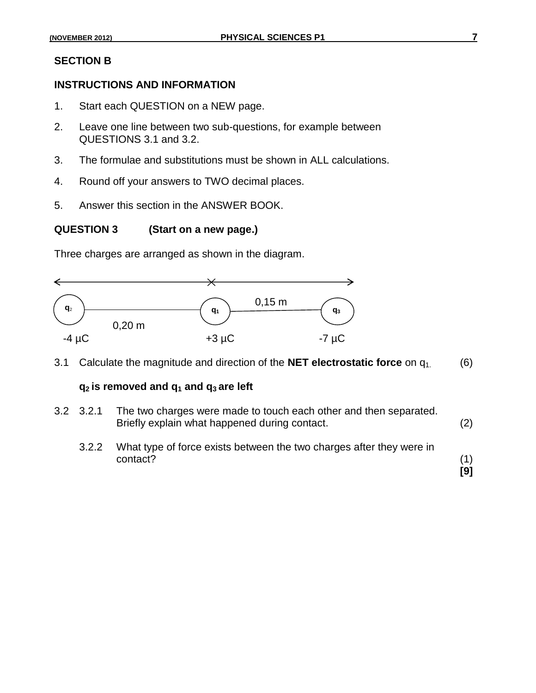#### **SECTION B**

## **INSTRUCTIONS AND INFORMATION**

- 1. Start each QUESTION on a NEW page.
- 2. Leave one line between two sub-questions, for example between QUESTIONS 3.1 and 3.2.
- 3. The formulae and substitutions must be shown in ALL calculations.
- 4. Round off your answers to TWO decimal places.
- 5. Answer this section in the ANSWER BOOK.

#### **QUESTION 3 (Start on a new page.)**

Three charges are arranged as shown in the diagram.



3.1 Calculate the magnitude and direction of the **NET electrostatic force** on q1. (6)

### **q2 is removed and q<sup>1</sup> and q<sup>3</sup> are left**

| $3.2$ $3.2.1$ | The two charges were made to touch each other and then separated.<br>Briefly explain what happened during contact. | (2) |
|---------------|--------------------------------------------------------------------------------------------------------------------|-----|
| 3.2.2         | What type of force exists between the two charges after they were in<br>contact?                                   |     |

**[9]**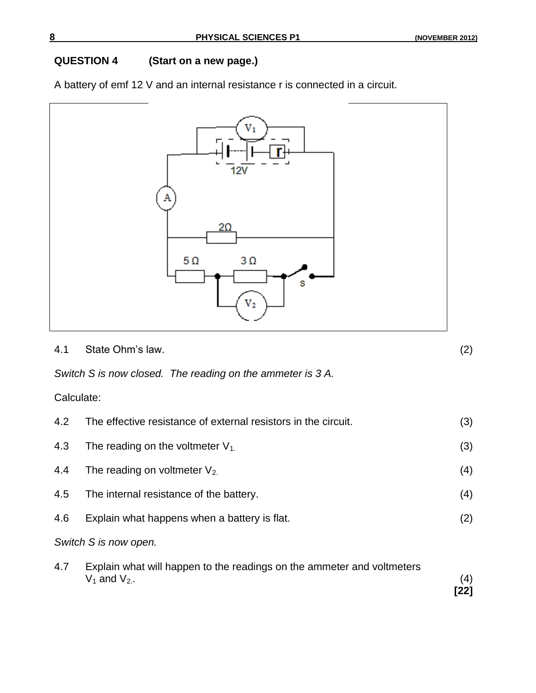## **QUESTION 4 (Start on a new page.)**

A battery of emf 12 V and an internal resistance r is connected in a circuit.



4.1 State Ohm"s law. (2)

*Switch S is now closed. The reading on the ammeter is 3 A.*

Calculate:

| $4.2^{\circ}$ | The effective resistance of external resistors in the circuit.                              |             |
|---------------|---------------------------------------------------------------------------------------------|-------------|
| 4.3           | The reading on the voltmeter $V_1$                                                          | (3)         |
| 4.4           | The reading on voltmeter $V_2$                                                              | (4)         |
| 4.5           | The internal resistance of the battery.                                                     | (4)         |
| 4.6           | Explain what happens when a battery is flat.                                                | (2)         |
|               | Switch S is now open.                                                                       |             |
| 4.7           | Explain what will happen to the readings on the ammeter and voltmeters<br>$V_1$ and $V_2$ . | (4)<br>[22] |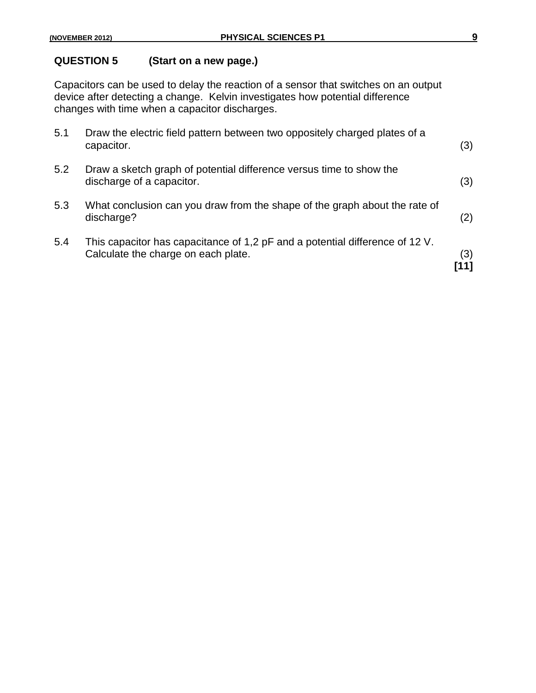## **QUESTION 5 (Start on a new page.)**

Capacitors can be used to delay the reaction of a sensor that switches on an output device after detecting a change. Kelvin investigates how potential difference changes with time when a capacitor discharges.

| 5.1 | Draw the electric field pattern between two oppositely charged plates of a<br>capacitor.                            | (3) |
|-----|---------------------------------------------------------------------------------------------------------------------|-----|
| 5.2 | Draw a sketch graph of potential difference versus time to show the<br>discharge of a capacitor.                    | (3) |
| 5.3 | What conclusion can you draw from the shape of the graph about the rate of<br>discharge?                            | (2) |
| 5.4 | This capacitor has capacitance of 1,2 pF and a potential difference of 12 V.<br>Calculate the charge on each plate. | (3) |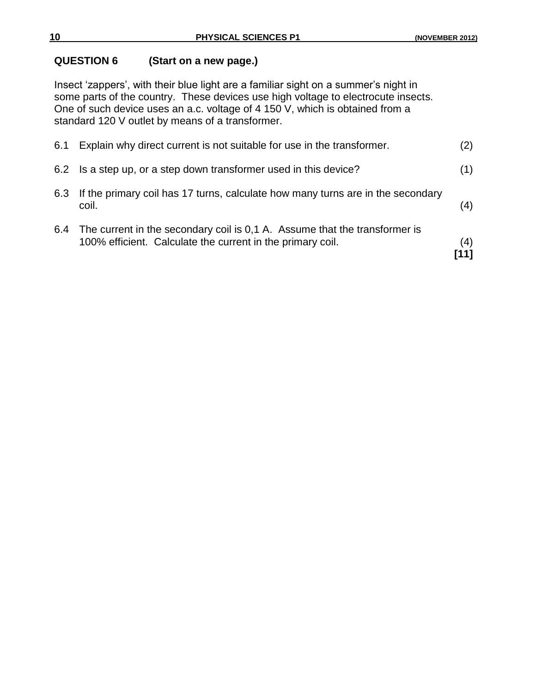## **QUESTION 6 (Start on a new page.)**

Insect 'zappers', with their blue light are a familiar sight on a summer's night in some parts of the country. These devices use high voltage to electrocute insects. One of such device uses an a.c. voltage of 4 150 V, which is obtained from a standard 120 V outlet by means of a transformer.

|     | 100% efficient. Calculate the current in the primary coil.                               | (4)<br>[11] |
|-----|------------------------------------------------------------------------------------------|-------------|
|     | 6.4 The current in the secondary coil is 0.1 A. Assume that the transformer is           |             |
| 6.3 | If the primary coil has 17 turns, calculate how many turns are in the secondary<br>coil. | (4)         |
|     | 6.2 Is a step up, or a step down transformer used in this device?                        | (1)         |
| 6.1 | Explain why direct current is not suitable for use in the transformer.                   | (2)         |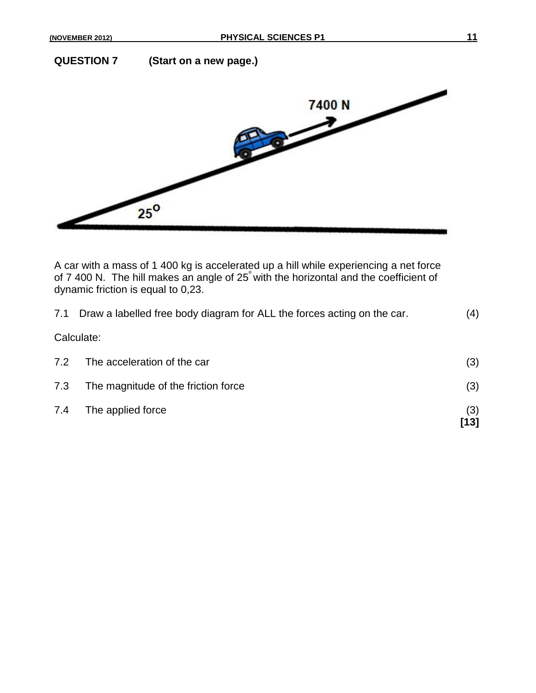**QUESTION 7 (Start on a new page.)**



A car with a mass of 1 400 kg is accelerated up a hill while experiencing a net force of 7 400 N. The hill makes an angle of 25<sup>º</sup> with the horizontal and the coefficient of dynamic friction is equal to 0,23.

|     | 7.1 Draw a labelled free body diagram for ALL the forces acting on the car. |             |
|-----|-----------------------------------------------------------------------------|-------------|
|     | Calculate:                                                                  |             |
| 7.2 | The acceleration of the car                                                 | (3)         |
| 7.3 | The magnitude of the friction force                                         | (3)         |
| 7.4 | The applied force                                                           | (3)<br>[13] |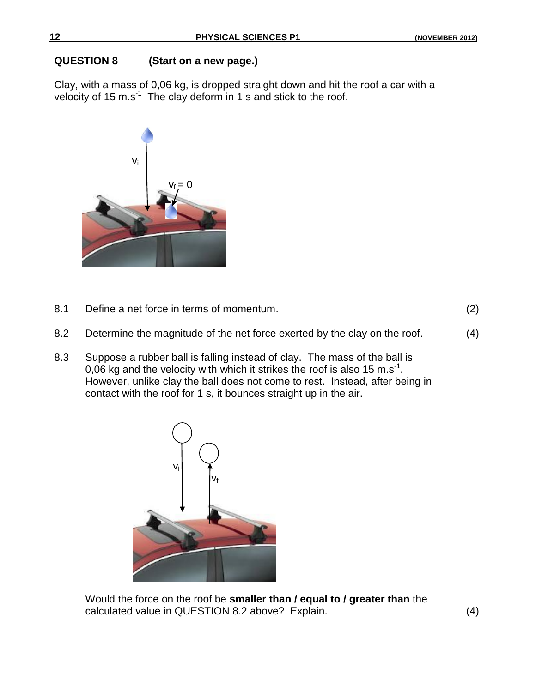## **QUESTION 8 (Start on a new page.)**

Clay, with a mass of 0,06 kg, is dropped straight down and hit the roof a car with a velocity of 15 m.s<sup>-1</sup> The clay deform in 1 s and stick to the roof.



8.1 Define a net force in terms of momentum. (2)

- 8.2 Determine the magnitude of the net force exerted by the clay on the roof. (4)
- 8.3 Suppose a rubber ball is falling instead of clay. The mass of the ball is 0,06 kg and the velocity with which it strikes the roof is also 15 m.s<sup>-1</sup>. However, unlike clay the ball does not come to rest. Instead, after being in contact with the roof for 1 s, it bounces straight up in the air.



Would the force on the roof be **smaller than / equal to / greater than** the calculated value in QUESTION 8.2 above? Explain. (4)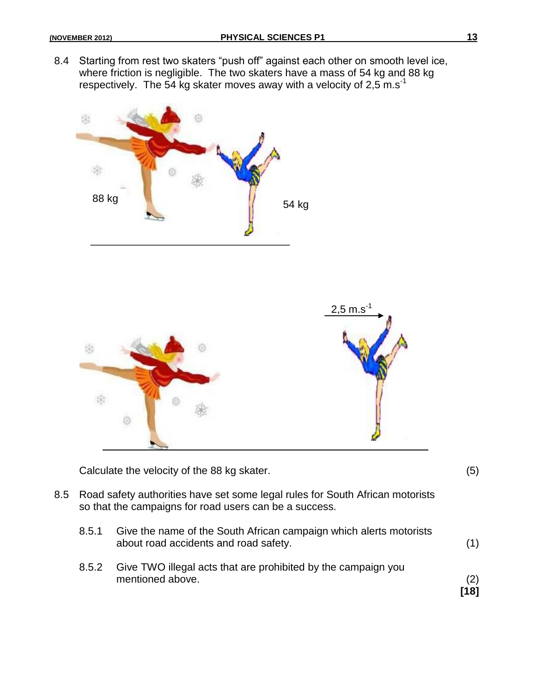8.4 Starting from rest two skaters "push off" against each other on smooth level ice, where friction is negligible. The two skaters have a mass of 54 kg and 88 kg respectively. The 54 kg skater moves away with a velocity of 2.5 m.s<sup>-1</sup>





Calculate the velocity of the 88 kg skater. (5)

- 8.5 Road safety authorities have set some legal rules for South African motorists so that the campaigns for road users can be a success.
	- 8.5.1 Give the name of the South African campaign which alerts motorists about road accidents and road safety. (1)
	- 8.5.2 Give TWO illegal acts that are prohibited by the campaign you mentioned above. (2)

**[18]**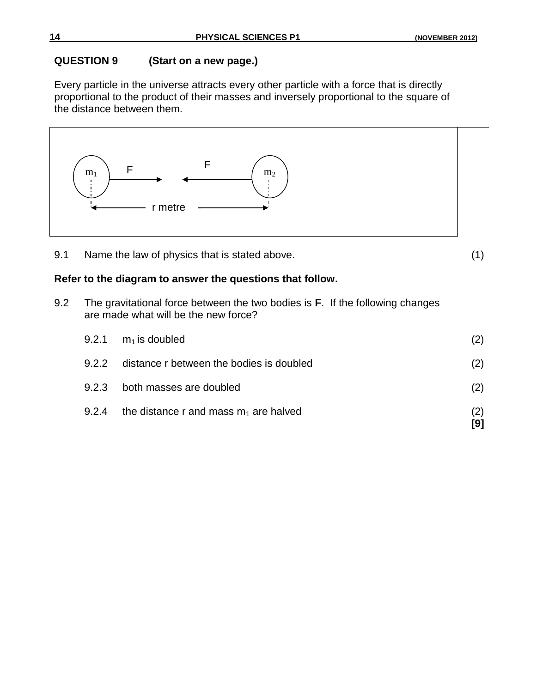## **QUESTION 9 (Start on a new page.)**

Every particle in the universe attracts every other particle with a force that is directly proportional to the product of their masses and inversely proportional to the square of the distance between them.

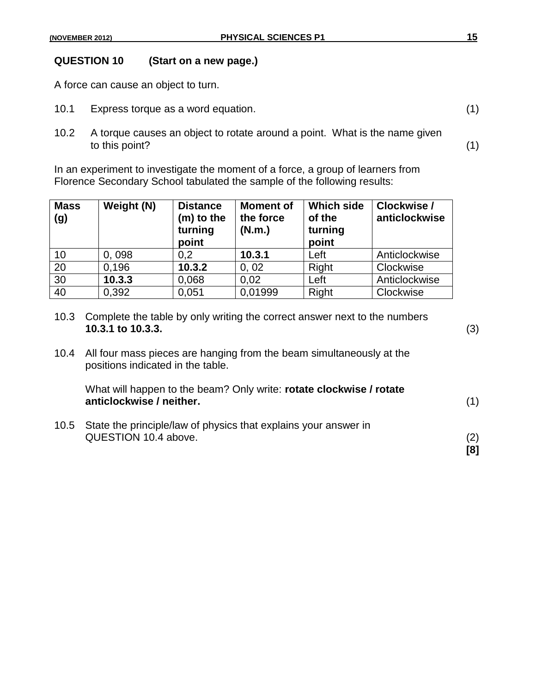## **QUESTION 10 (Start on a new page.)**

A force can cause an object to turn.

- 10.1 Express torque as a word equation. (1)
- 10.2 A torque causes an object to rotate around a point. What is the name given to this point? (1)

In an experiment to investigate the moment of a force, a group of learners from Florence Secondary School tabulated the sample of the following results:

| <b>Mass</b><br>(g) | Weight (N) | <b>Distance</b><br>(m) to the<br>turning<br>point | <b>Moment of</b><br>the force<br>(N.m.) | <b>Which side</b><br>of the<br>turning<br>point | Clockwise /<br>anticlockwise |
|--------------------|------------|---------------------------------------------------|-----------------------------------------|-------------------------------------------------|------------------------------|
| 10                 | 0,098      | 0,2                                               | 10.3.1                                  | Left                                            | Anticlockwise                |
| 20                 | 0,196      | 10.3.2                                            | 0, 02                                   | Right                                           | Clockwise                    |
| 30                 | 10.3.3     | 0,068                                             | 0.02                                    | Left                                            | Anticlockwise                |
| 40                 | 0,392      | 0,051                                             | 0,01999                                 | Right                                           | Clockwise                    |

|      | 10.3 Complete the table by only writing the correct answer next to the numbers<br>10.3.1 to 10.3.3.            | (3)        |
|------|----------------------------------------------------------------------------------------------------------------|------------|
|      | 10.4 All four mass pieces are hanging from the beam simultaneously at the<br>positions indicated in the table. |            |
|      | What will happen to the beam? Only write: rotate clockwise / rotate<br>anticlockwise / neither.                | (1)        |
| 10.5 | State the principle/law of physics that explains your answer in<br>QUESTION 10.4 above.                        | (2)<br>[8] |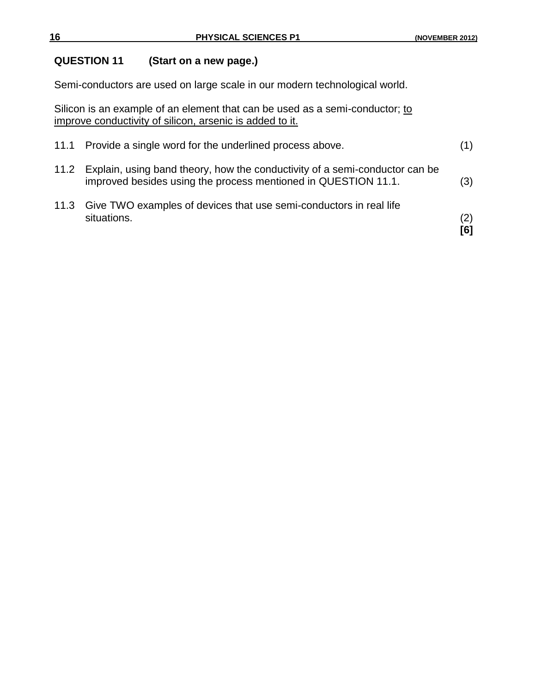## **QUESTION 11 (Start on a new page.)**

Semi-conductors are used on large scale in our modern technological world.

Silicon is an example of an element that can be used as a semi-conductor; to improve conductivity of silicon, arsenic is added to it.

| 11.2 Explain, using band theory, how the conductivity of a semi-conductor can be<br>improved besides using the process mentioned in QUESTION 11.1. | (3)        |
|----------------------------------------------------------------------------------------------------------------------------------------------------|------------|
| 11.3 Give TWO examples of devices that use semi-conductors in real life<br>situations.                                                             | (2)<br>[6] |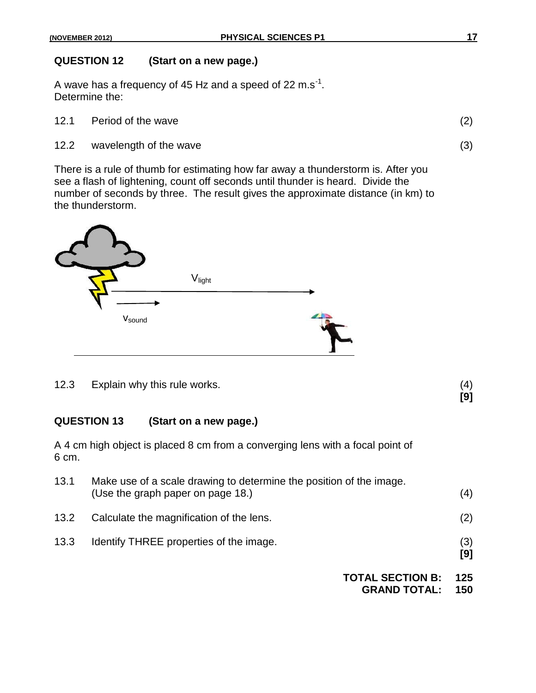## **QUESTION 12 (Start on a new page.)**

A wave has a frequency of 45 Hz and a speed of 22 m.s<sup>-1</sup>. Determine the:

- 12.1 Period of the wave (2)
- 12.2 wavelength of the wave (3)

There is a rule of thumb for estimating how far away a thunderstorm is. After you see a flash of lightening, count off seconds until thunder is heard. Divide the number of seconds by three. The result gives the approximate distance (in km) to the thunderstorm.



12.3 Explain why this rule works. (4)

**[9]**

## **QUESTION 13 (Start on a new page.)**

A 4 cm high object is placed 8 cm from a converging lens with a focal point of 6 cm.

| 13.1 | Make use of a scale drawing to determine the position of the image.<br>(Use the graph paper on page 18.) | (4)        |
|------|----------------------------------------------------------------------------------------------------------|------------|
| 13.2 | Calculate the magnification of the lens.                                                                 | (2)        |
| 13.3 | Identify THREE properties of the image.                                                                  | (3)<br>[9] |
|      | <b>TOTAL SECTION B:</b><br><b>GRAND TOTAL:</b>                                                           | 125<br>150 |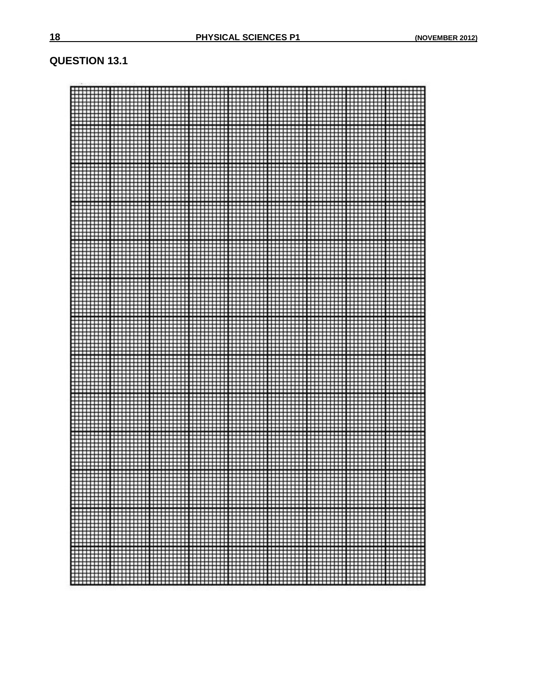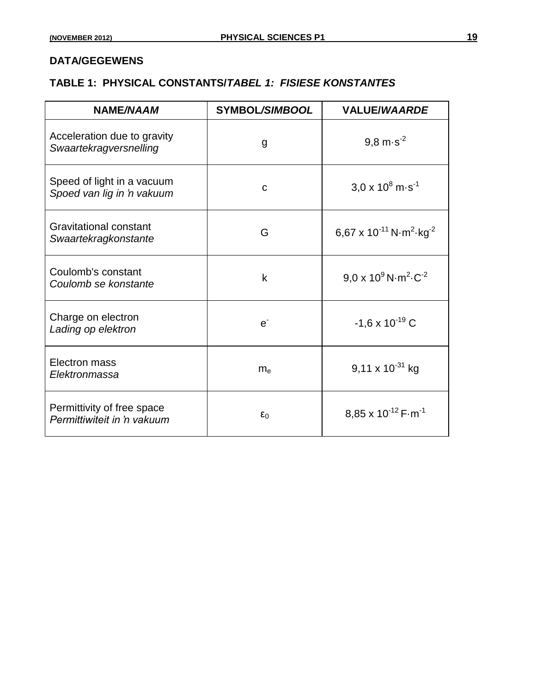## **DATA/GEGEWENS**

## **TABLE 1: PHYSICAL CONSTANTS/***TABEL 1: FISIESE KONSTANTES*

| <b>NAME/NAAM</b>                                          | SYMBOL/SIMBOOL | <b>VALUE/WAARDE</b>                                                |
|-----------------------------------------------------------|----------------|--------------------------------------------------------------------|
| Acceleration due to gravity<br>Swaartekragversnelling     | g              | $9.8 \text{ m} \cdot \text{s}^{-2}$                                |
| Speed of light in a vacuum<br>Spoed van lig in 'n vakuum  | C              | $3.0 \times 10^8$ m $\text{s}^1$                                   |
| <b>Gravitational constant</b><br>Swaartekragkonstante     | G              | 6,67 x 10 <sup>-11</sup> N·m <sup>2</sup> ·kg <sup>-2</sup>        |
| Coulomb's constant<br>Coulomb se konstante                | k              | $9.0 \times 10^9$ N $\cdot$ m <sup>2</sup> $\cdot$ C <sup>-2</sup> |
| Charge on electron<br>Lading op elektron                  | $e^{\cdot}$    | $-1,6 \times 10^{-19}$ C                                           |
| Electron mass<br>Elektronmassa                            | m <sub>e</sub> | $9,11 \times 10^{-31}$ kg                                          |
| Permittivity of free space<br>Permittiwiteit in 'n vakuum | $\epsilon_0$   | $8,85 \times 10^{-12}$ F $\cdot$ m <sup>-1</sup>                   |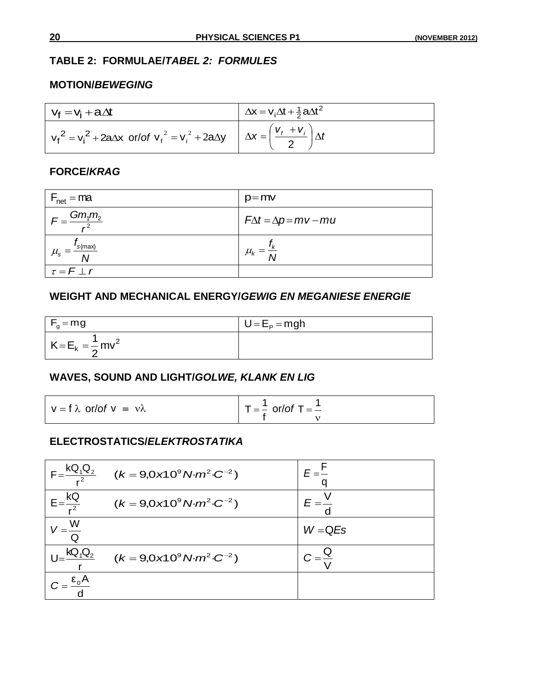## **TABLE 2: FORMULAE/***TABEL 2: FORMULES*

#### **MOTION/***BEWEGING*

| $V_f = V_i + a \Delta t$                                                                                              | $\Delta x = v_i \Delta t + \frac{1}{2} a \Delta t^2$ |
|-----------------------------------------------------------------------------------------------------------------------|------------------------------------------------------|
| $v_f^2 = v_i^2 + 2a\Delta x$ or/of $v_f^2 = v_i^2 + 2a\Delta y$ $\Delta x = \left(\frac{v_f + v_i}{2}\right)\Delta t$ |                                                      |

#### **FORCE/***KRAG*

| $F_{\text{net}} = ma$                                 | $p=mv$                           |
|-------------------------------------------------------|----------------------------------|
| $=\frac{Gm_1m_2}{a}$<br>$\sim$ 2                      | $F\Delta t = \Delta p = mv - mu$ |
| $\mathsf{I}_\mathcal{S}(\text{max})$<br>$\mu_{\rm s}$ | $\mu_{k}$                        |
| $\tau = F \perp r$                                    |                                  |

### **WEIGHT AND MECHANICAL ENERGY/***GEWIG EN MEGANIESE ENERGIE*

| $F_q = mg$                  | $U = EP = mgh$ |  |
|-----------------------------|----------------|--|
| $K = E_k = \frac{1}{2}mv^2$ |                |  |

## **WAVES, SOUND AND LIGHT/***GOLWE, KLANK EN LIG*

| $V = f \lambda$ or/of $V = V \lambda$ | $T = \frac{1}{2}$ or/of T = $\frac{1}{2}$ |
|---------------------------------------|-------------------------------------------|
|                                       |                                           |

## **ELECTROSTATICS/***ELEKTROSTATIKA*

| $F = \frac{KQ_1Q_2}{r^2}$                             | $(k = 9.0 \times 10^9 \text{ N} \cdot m^2 \cdot C^{-2})$               |           |
|-------------------------------------------------------|------------------------------------------------------------------------|-----------|
| $\mathsf{C} = \frac{\mathsf{R}_{\leq}}{\mathsf{r}^2}$ | $(k = 9.0 \times 10^{9} \text{ N} \cdot m^{2} \cdot C^{-2})$           |           |
|                                                       |                                                                        | $W = QES$ |
| $KQ_1Q_2$                                             | $(k = 9.0 \times 10^9 \text{ N} \cdot \text{m}^2 \cdot \text{C}^{-2})$ |           |
| $=\frac{\epsilon_0 A}{\epsilon_0}$                    |                                                                        |           |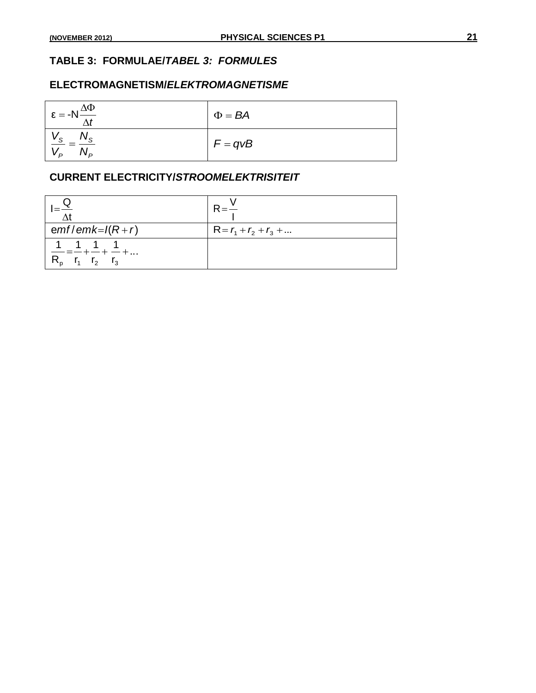## **TABLE 3: FORMULAE/***TABEL 3: FORMULES*

#### **ELECTROMAGNETISM/***ELEKTROMAGNETISME*

| $\epsilon = -N \frac{\Delta \Phi}{\Delta t}$            | $\Phi = BA$ |
|---------------------------------------------------------|-------------|
| $\frac{v_S}{s} = \frac{IV_S}{s}$<br>$V_P$<br>$1 \vee p$ | $F = qvB$   |

### **CURRENT ELECTRICITY/***STROOMELEKTRISITEIT*

| $emf$ emk= $I(R+r)$                               | $R = r_1 + r_2 + r_3 + $ |
|---------------------------------------------------|--------------------------|
| 1 1 1 1<br>$-=-+-+--+$<br>$R_p$ $r_1$ $r_2$ $r_3$ |                          |